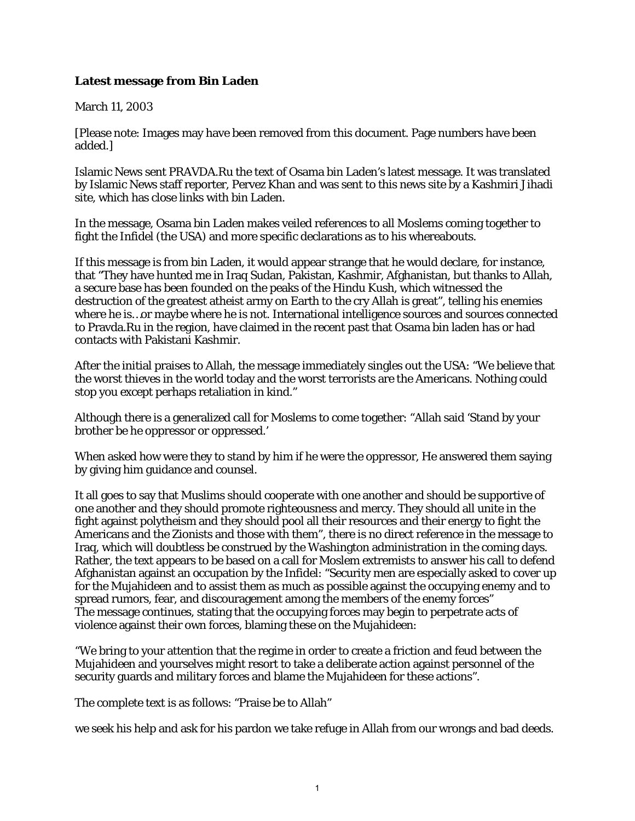## **Latest message from Bin Laden**

## March 11, 2003

[Please note: Images may have been removed from this document. Page numbers have been added.]

Islamic News sent PRAVDA.Ru the text of Osama bin Laden's latest message. It was translated by Islamic News staff reporter, Pervez Khan and was sent to this news site by a Kashmiri Jihadi site, which has close links with bin Laden.

In the message, Osama bin Laden makes veiled references to all Moslems coming together to fight the Infidel (the USA) and more specific declarations as to his whereabouts.

If this message is from bin Laden, it would appear strange that he would declare, for instance, that "They have hunted me in Iraq Sudan, Pakistan, Kashmir, Afghanistan, but thanks to Allah, a secure base has been founded on the peaks of the Hindu Kush, which witnessed the destruction of the greatest atheist army on Earth to the cry Allah is great", telling his enemies where he is…or maybe where he is not. International intelligence sources and sources connected to Pravda.Ru in the region, have claimed in the recent past that Osama bin laden has or had contacts with Pakistani Kashmir.

After the initial praises to Allah, the message immediately singles out the USA: "We believe that the worst thieves in the world today and the worst terrorists are the Americans. Nothing could stop you except perhaps retaliation in kind."

Although there is a generalized call for Moslems to come together: "Allah said 'Stand by your brother be he oppressor or oppressed.'

When asked how were they to stand by him if he were the oppressor, He answered them saying by giving him guidance and counsel.

It all goes to say that Muslims should cooperate with one another and should be supportive of one another and they should promote righteousness and mercy. They should all unite in the fight against polytheism and they should pool all their resources and their energy to fight the Americans and the Zionists and those with them", there is no direct reference in the message to Iraq, which will doubtless be construed by the Washington administration in the coming days. Rather, the text appears to be based on a call for Moslem extremists to answer his call to defend Afghanistan against an occupation by the Infidel: "Security men are especially asked to cover up for the Mujahideen and to assist them as much as possible against the occupying enemy and to spread rumors, fear, and discouragement among the members of the enemy forces" The message continues, stating that the occupying forces may begin to perpetrate acts of violence against their own forces, blaming these on the Mujahideen:

"We bring to your attention that the regime in order to create a friction and feud between the Mujahideen and yourselves might resort to take a deliberate action against personnel of the security guards and military forces and blame the Mujahideen for these actions".

The complete text is as follows: "Praise be to Allah"

we seek his help and ask for his pardon we take refuge in Allah from our wrongs and bad deeds.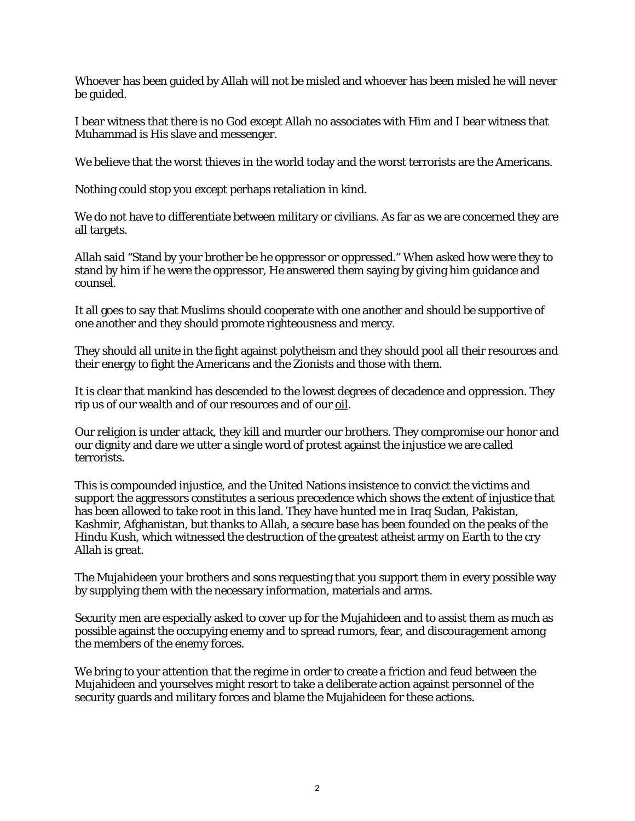Whoever has been guided by Allah will not be misled and whoever has been misled he will never be guided.

I bear witness that there is no God except Allah no associates with Him and I bear witness that Muhammad is His slave and messenger.

We believe that the worst thieves in the world today and the worst terrorists are the Americans.

Nothing could stop you except perhaps retaliation in kind.

We do not have to differentiate between military or civilians. As far as we are concerned they are all targets.

Allah said "Stand by your brother be he oppressor or oppressed." When asked how were they to stand by him if he were the oppressor, He answered them saying by giving him guidance and counsel.

It all goes to say that Muslims should cooperate with one another and should be supportive of one another and they should promote righteousness and mercy.

They should all unite in the fight against polytheism and they should pool all their resources and their energy to fight the Americans and the Zionists and those with them.

It is clear that mankind has descended to the lowest degrees of decadence and oppression. They rip us of our wealth and of our resources and of our oil.

Our religion is under attack, they kill and murder our brothers. They compromise our honor and our dignity and dare we utter a single word of protest against the injustice we are called terrorists.

This is compounded injustice, and the United Nations insistence to convict the victims and support the aggressors constitutes a serious precedence which shows the extent of injustice that has been allowed to take root in this land. They have hunted me in Iraq Sudan, Pakistan, Kashmir, Afghanistan, but thanks to Allah, a secure base has been founded on the peaks of the Hindu Kush, which witnessed the destruction of the greatest atheist army on Earth to the cry Allah is great.

The Mujahideen your brothers and sons requesting that you support them in every possible way by supplying them with the necessary information, materials and arms.

Security men are especially asked to cover up for the Mujahideen and to assist them as much as possible against the occupying enemy and to spread rumors, fear, and discouragement among the members of the enemy forces.

We bring to your attention that the regime in order to create a friction and feud between the Mujahideen and yourselves might resort to take a deliberate action against personnel of the security guards and military forces and blame the Mujahideen for these actions.